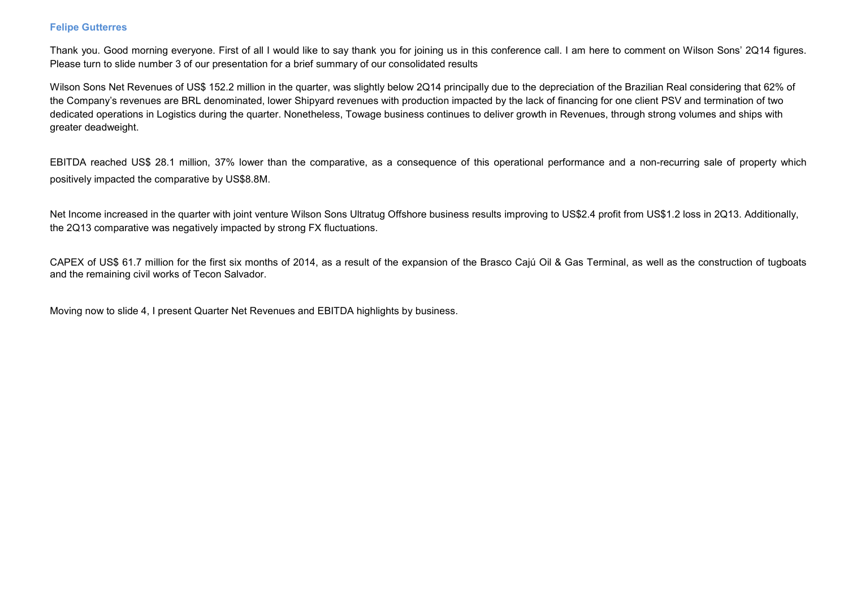### Felipe Gutterres

Thank you. Good morning everyone. First of all I would like to say thank you for joining us in this conference call. I am here to comment on Wilson Sons' 2Q14 figures. Please turn to slide number 3 of our presentation for a brief summary of our consolidated results

Wilson Sons Net Revenues of US\$ 152.2 million in the quarter, was slightly below 2Q14 principally due to the depreciation of the Brazilian Real considering that 62% of the Company's revenues are BRL denominated, lower Shipyard revenues with production impacted by the lack of financing for one client PSV and termination of two dedicated operations in Logistics during the quarter. Nonetheless, Towage business continues to deliver growth in Revenues, through strong volumes and ships with greater deadweight.

EBITDA reached US\$ 28.1 million, 37% lower than the comparative, as a consequence of this operational performance and a non-recurring sale of property which positively impacted the comparative by US\$8.8M.

Net Income increased in the quarter with joint venture Wilson Sons Ultratug Offshore business results improving to US\$2.4 profit from US\$1.2 loss in 2Q13. Additionally, the 2Q13 comparative was negatively impacted by strong FX fluctuations.

CAPEX of US\$ 61.7 million for the first six months of 2014, as a result of the expansion of the Brasco Cajú Oil & Gas Terminal, as well as the construction of tugboats and the remaining civil works of Tecon Salvador.

Moving now to slide 4, I present Quarter Net Revenues and EBITDA highlights by business.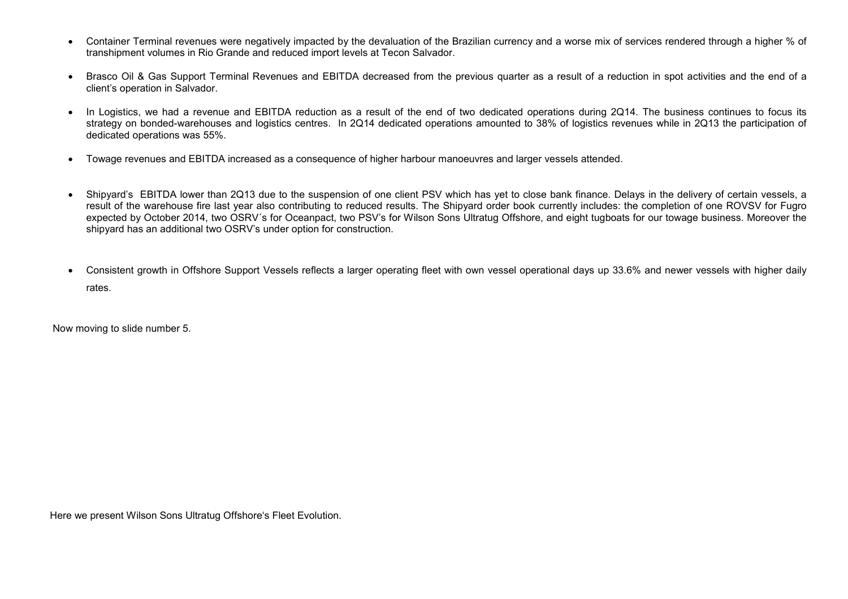- Container Terminal revenues were negatively impacted by the devaluation of the Brazilian currency and a worse mix of services rendered through a higher % of transhipment volumes in Rio Grande and reduced import levels at Tecon Salvador.
- Brasco Oil & Gas Support Terminal Revenues and EBITDA decreased from the previous quarter as a result of a reduction in spot activities and the end of aclient's operation in Salvador.
- In Logistics, we had a revenue and EBITDA reduction as a result of the end of two dedicated operations during 2Q14. The business continues to focus its strategy on bonded-warehouses and logistics centres. In 2Q14 dedicated operations amounted to 38% of logistics revenues while in 2Q13 the participation of dedicated operations was 55%.
- Towage revenues and EBITDA increased as a consequence of higher harbour manoeuvres and larger vessels attended.
- Shipyard's EBITDA lower than 2Q13 due to the suspension of one client PSV which has yet to close bank finance. Delays in the delivery of certain vessels, a result of the warehouse fire last year also contributing to reduced results. The Shipyard order book currently includes: the completion of one ROVSV for Fugro expected by October 2014, two OSRV's for Oceanpact, two PSV's for Wilson Sons Ultratug Offshore, and eight tugboats for our towage business. Moreover the shipyard has an additional two OSRV's under option for construction.
- Consistent growth in Offshore Support Vessels reflects a larger operating fleet with own vessel operational days up 33.6% and newer vessels with higher daily rates.

Now moving to slide number 5.

Here we present Wilson Sons Ultratug Offshore's Fleet Evolution.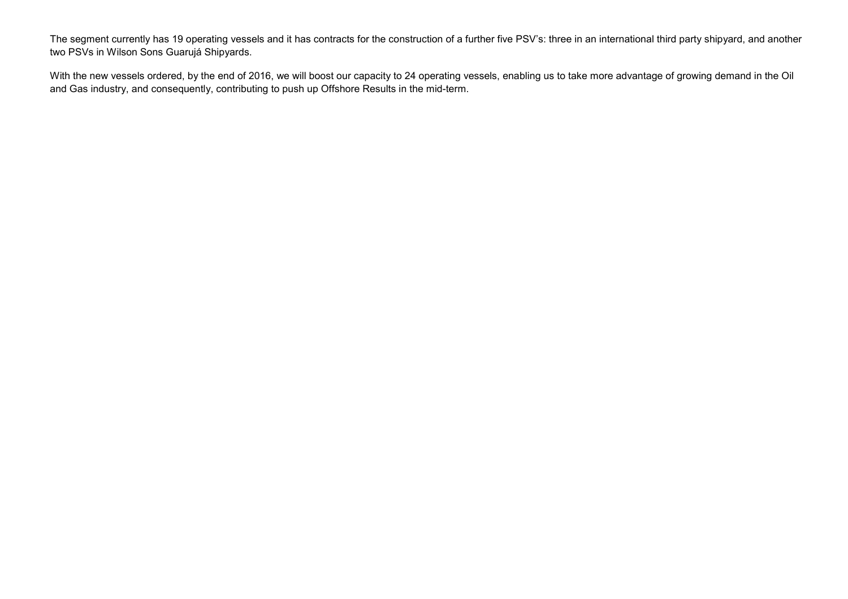The segment currently has 19 operating vessels and it has contracts for the construction of a further five PSV's: three in an international third party shipyard, and another two PSVs in Wilson Sons Guarujá Shipyards.

With the new vessels ordered, by the end of 2016, we will boost our capacity to 24 operating vessels, enabling us to take more advantage of growing demand in the Oil and Gas industry, and consequently, contributing to push up Offshore Results in the mid-term.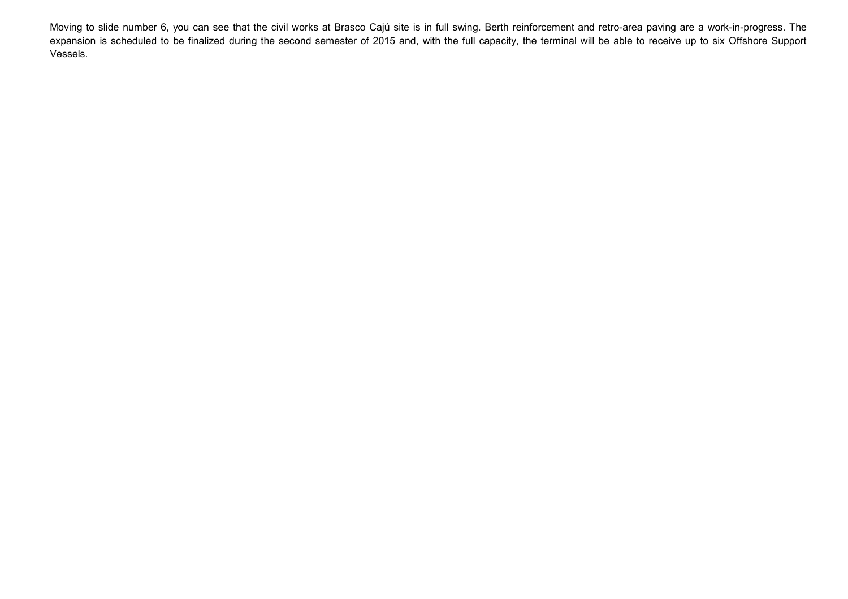Moving to slide number 6, you can see that the civil works at Brasco Cajú site is in full swing. Berth reinforcement and retro-area paving are a work-in-progress. The expansion is scheduled to be finalized during the second semester of 2015 and, with the full capacity, the terminal will be able to receive up to six Offshore Support Vessels.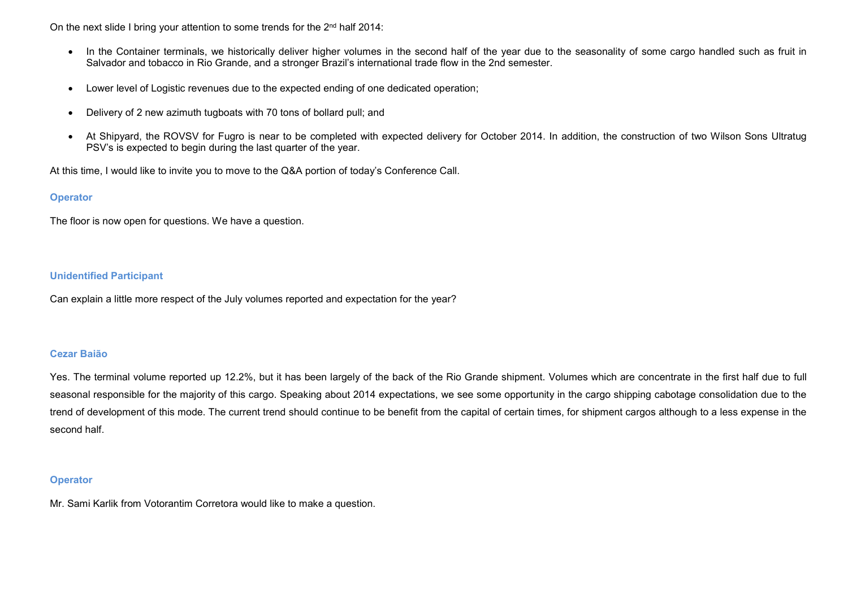On the next slide I bring your attention to some trends for the 2<sup>nd</sup> half 2014:

- In the Container terminals, we historically deliver higher volumes in the second half of the year due to the seasonality of some cargo handled such as fruit in Salvador and tobacco in Rio Grande, and a stronger Brazil's international trade flow in the 2nd semester.
- Lower level of Logistic revenues due to the expected ending of one dedicated operation;
- Delivery of 2 new azimuth tugboats with 70 tons of bollard pull; and
- At Shipyard, the ROVSV for Fugro is near to be completed with expected delivery for October 2014. In addition, the construction of two Wilson Sons Ultratug PSV's is expected to begin during the last quarter of the year.

At this time, I would like to invite you to move to the Q&A portion of today's Conference Call.

### **Operator**

The floor is now open for questions. We have a question.

## Unidentified Participant

Can explain a little more respect of the July volumes reported and expectation for the year?

### Cezar Baião

Yes. The terminal volume reported up 12.2%, but it has been largely of the back of the Rio Grande shipment. Volumes which are concentrate in the first half due to full seasonal responsible for the majority of this cargo. Speaking about 2014 expectations, we see some opportunity in the cargo shipping cabotage consolidation due to the trend of development of this mode. The current trend should continue to be benefit from the capital of certain times, for shipment cargos although to a less expense in the second half.

### **Operator**

Mr. Sami Karlik from Votorantim Corretora would like to make a question.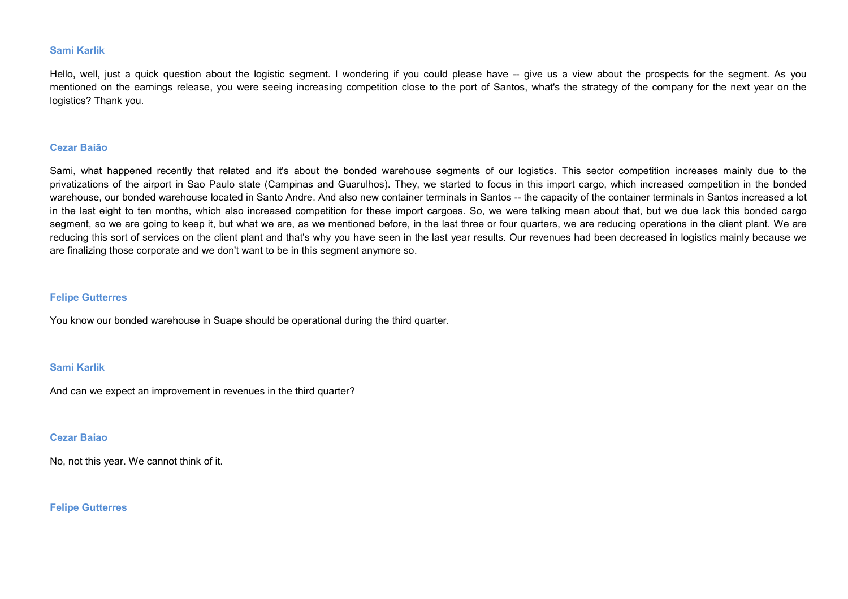### Sami Karlik

Hello, well, just a quick question about the logistic segment. I wondering if you could please have -- give us a view about the prospects for the segment. As you mentioned on the earnings release, you were seeing increasing competition close to the port of Santos, what's the strategy of the company for the next year on the logistics? Thank you.

#### Cezar Baião

Sami, what happened recently that related and it's about the bonded warehouse segments of our logistics. This sector competition increases mainly due to the privatizations of the airport in Sao Paulo state (Campinas and Guarulhos). They, we started to focus in this import cargo, which increased competition in the bonded warehouse, our bonded warehouse located in Santo Andre. And also new container terminals in Santos -- the capacity of the container terminals in Santos increased a lot in the last eight to ten months, which also increased competition for these import cargoes. So, we were talking mean about that, but we due lack this bonded cargo segment, so we are going to keep it, but what we are, as we mentioned before, in the last three or four quarters, we are reducing operations in the client plant. We are reducing this sort of services on the client plant and that's why you have seen in the last year results. Our revenues had been decreased in logistics mainly because we are finalizing those corporate and we don't want to be in this segment anymore so.

#### Felipe Gutterres

You know our bonded warehouse in Suape should be operational during the third quarter.

#### Sami Karlik

And can we expect an improvement in revenues in the third quarter?

### Cezar Baiao

No, not this year. We cannot think of it.

#### Felipe Gutterres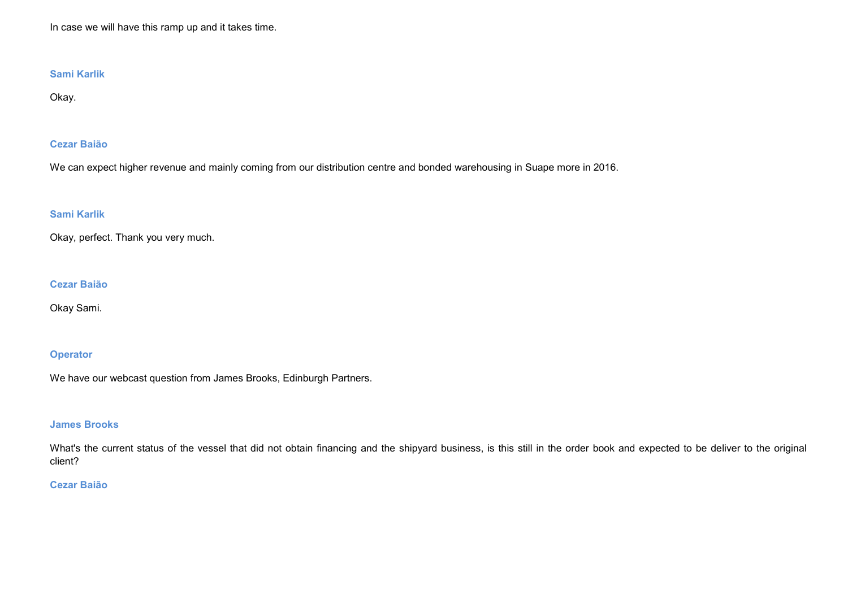In case we will have this ramp up and it takes time.

# Sami Karlik

Okay.

# Cezar Baião

We can expect higher revenue and mainly coming from our distribution centre and bonded warehousing in Suape more in 2016.

# Sami Karlik

Okay, perfect. Thank you very much.

## Cezar Baião

Okay Sami.

## **Operator**

We have our webcast question from James Brooks, Edinburgh Partners.

# James Brooks

What's the current status of the vessel that did not obtain financing and the shipyard business, is this still in the order book and expected to be deliver to the original client?

# Cezar Baião